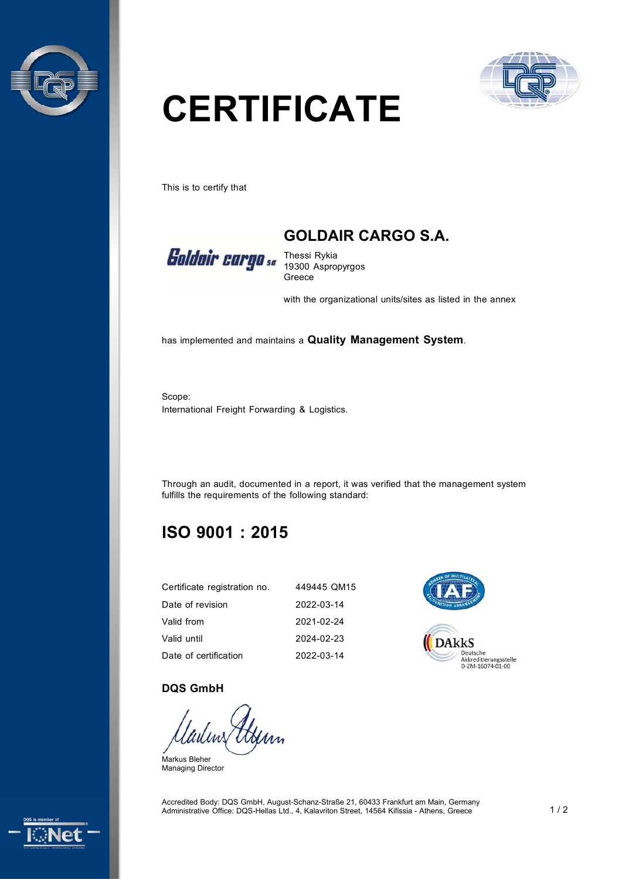



# **CERTIFICATE**

This is to certify that



**GOLDAIR CARGO S.A.**  Thessi Rykia

19300 Aspropyrgos Greece

with the organizational units/sites as listed in the annex

has implemented and maintains a **Quality Management System**.

Scope: International Freight Forwarding & Logistics.

Through an audit, documented in a report, it was verified that the management system fulfills the requirements of the following standard:

# **ISO 9001 : 2015**

| Certificate registration no. | 449445 QM15 |
|------------------------------|-------------|
| Date of revision             | 2022-03-14  |
| Valid from                   | 2021-02-24  |
| Valid until                  | 2024-02-23  |
| Date of certification        | 2022-03-14  |



### **DQS GmbH**

Markus Bleher Managing Director

Accredited Body: DQS GmbH, August-Schanz-Straße 21, 60433 Frankfurt am Main, Germany Administrative Office: DQS-Hellas Ltd., 4, Kalavriton Street, 14564 Kifissia - Athens, Greece 1 / 2